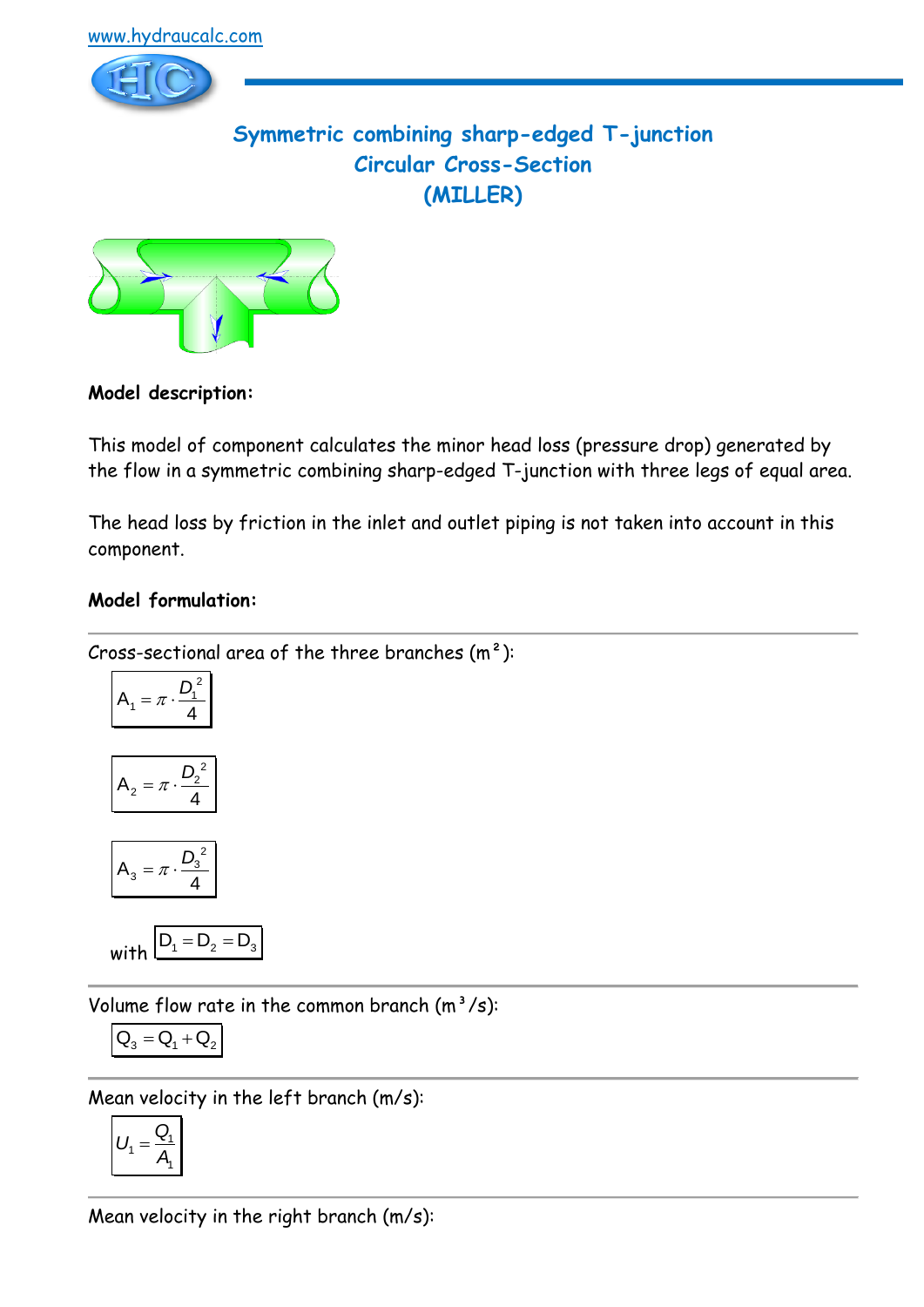

# **Symmetric combining sharp-edged T-junction Circular Cross-Section (MILLER)**



# **Model description:**

This model of component calculates the minor head loss (pressure drop) generated by the flow in a symmetric combining sharp-edged T-junction with three legs of equal area.

The head loss by friction in the inlet and outlet piping is not taken into account in this component.

#### **Model formulation:**

Cross-sectional area of the three branches  $(m<sup>2</sup>)$ :

$$
A_1 = \pi \cdot \frac{D_1^2}{4}
$$

$$
A_2=\pi\cdot\frac{D_2^2}{4}
$$

$$
A_3 = \pi \cdot \frac{D_3^2}{4}
$$

$$
\text{with } D_1 = D_2 = D_3
$$

Volume flow rate in the common branch  $(m^3/s)$ :

$$
\boxed{\textbf{Q}_{3}=\textbf{Q}_{1}+\textbf{Q}_{2}}
$$

Mean velocity in the left branch (m/s):

$$
U_1 = \frac{Q_1}{A_1}
$$

Mean velocity in the right branch (m/s):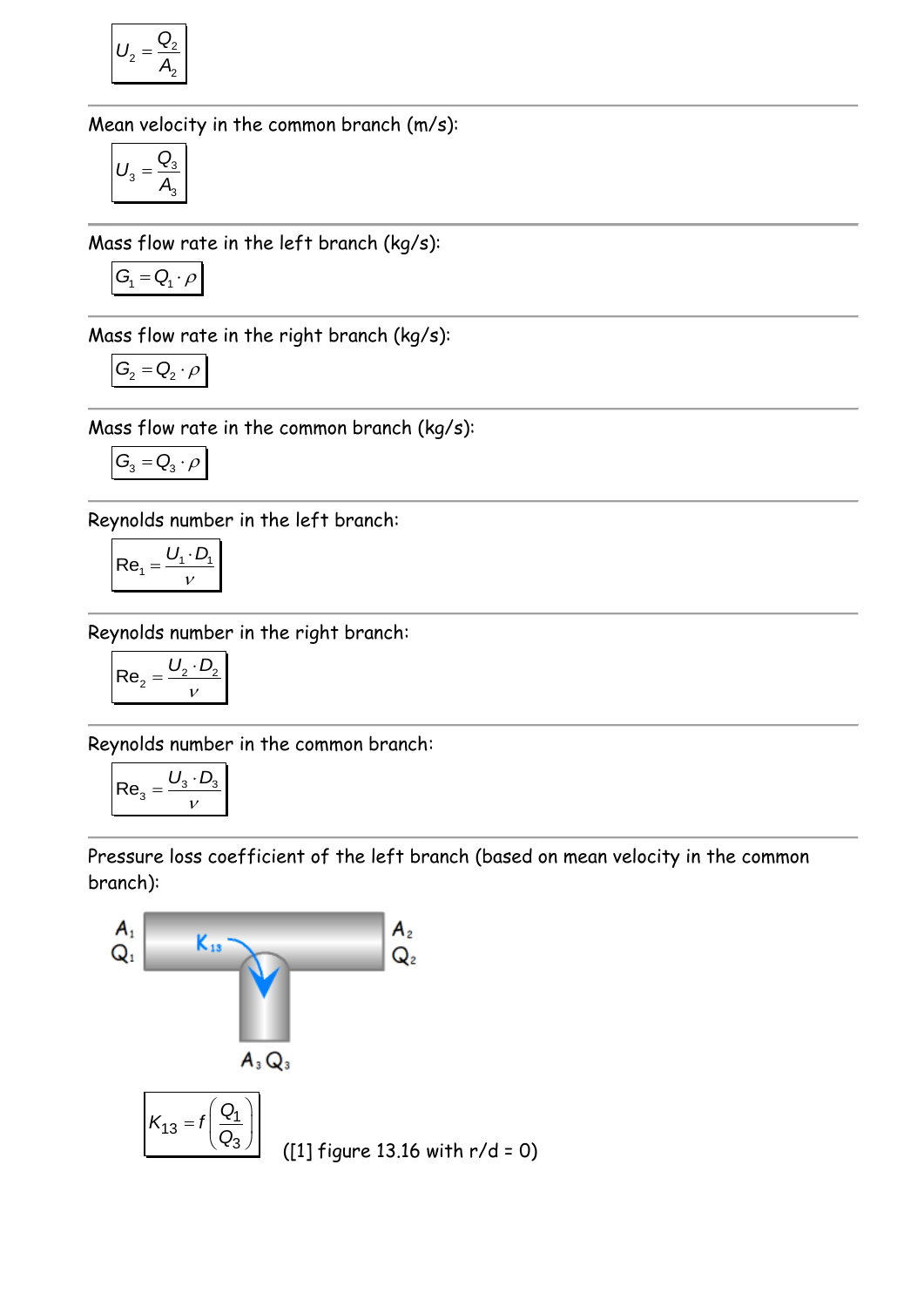$$
U_2 = \frac{Q_2}{A_2}
$$

Mean velocity in the common branch (m/s):

$$
U_3 = \frac{Q_3}{A_3}
$$

Mass flow rate in the left branch (kg/s):

$$
G_{\!\scriptscriptstyle 1} = Q_{\!\scriptscriptstyle 1} \cdot \rho
$$

Mass flow rate in the right branch (kg/s):

$$
G_2 = Q_2 \cdot \rho
$$

Mass flow rate in the common branch (kg/s):

$$
G_{_{\!3}}=Q_{_{\!3}}\cdot\rho
$$

Reynolds number in the left branch:

$$
Re_1 = \frac{U_1 \cdot D_1}{V}
$$

Reynolds number in the right branch:

$$
Re_2 = \frac{U_2 \cdot D_2}{v}
$$

Reynolds number in the common branch:

$$
\mathsf{Re}_3 = \frac{U_3 \cdot D_3}{v}
$$

Pressure loss coefficient of the left branch (based on mean velocity in the common branch):

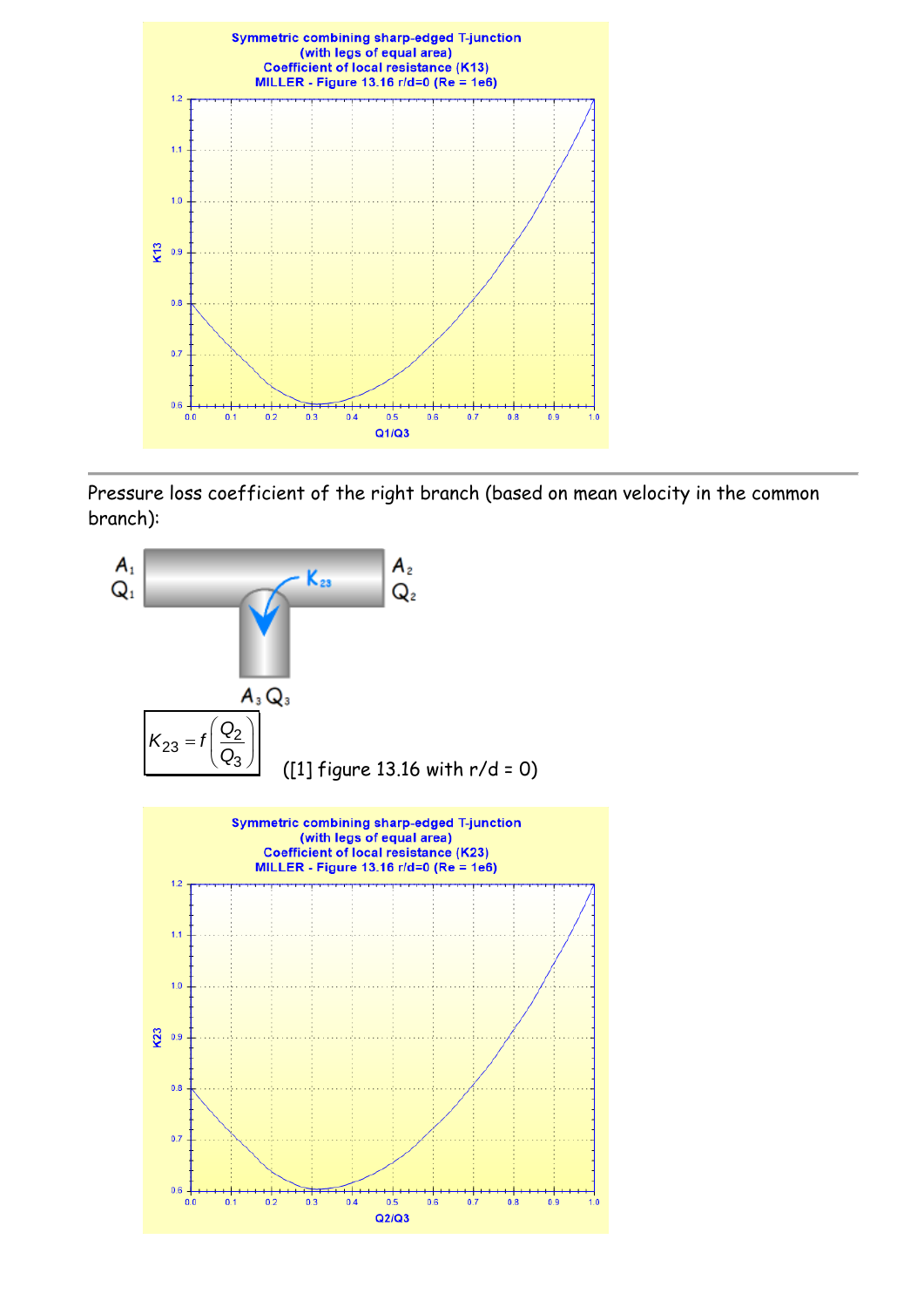

Pressure loss coefficient of the right branch (based on mean velocity in the common branch):

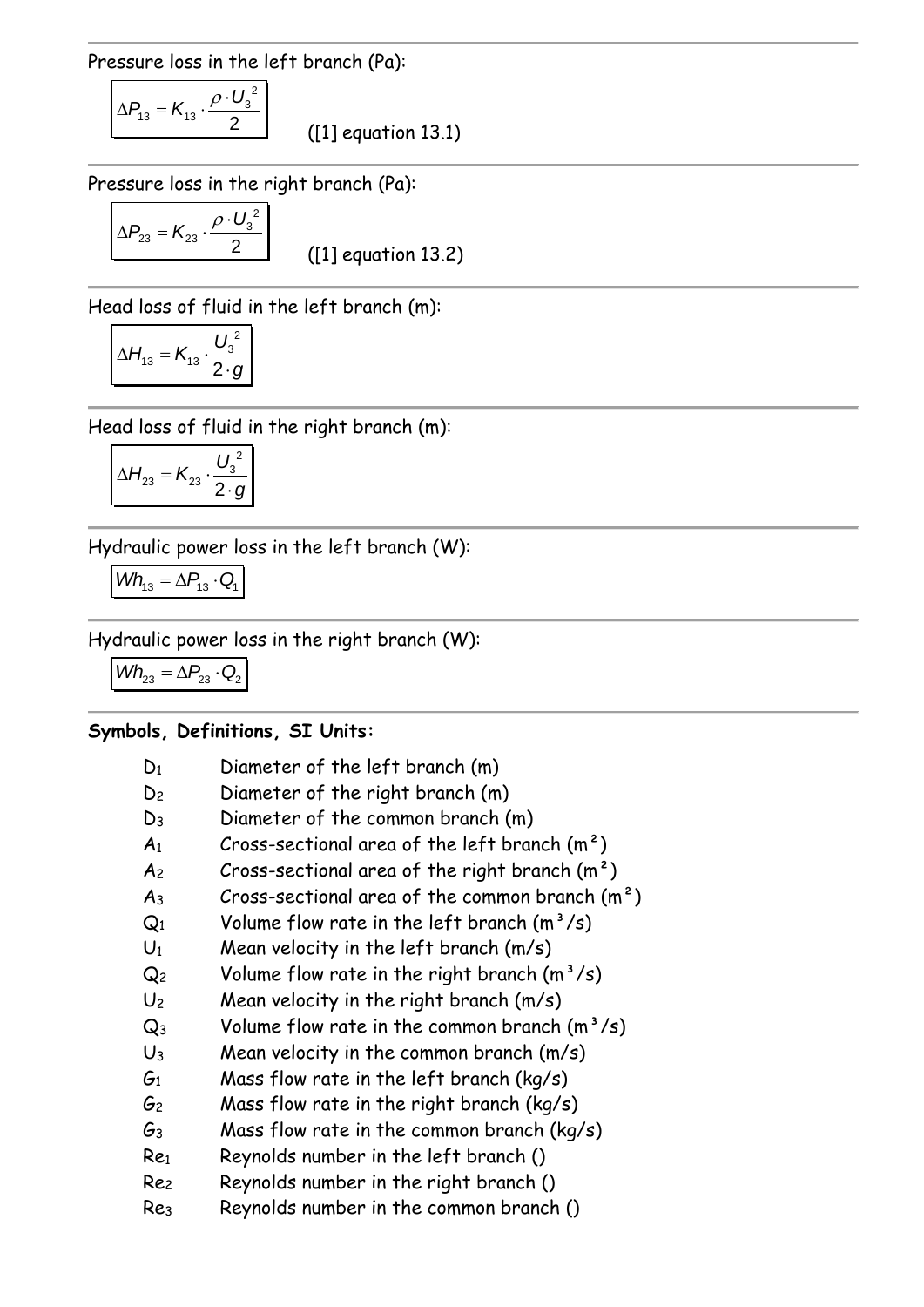Pressure loss in the left branch (Pa):

$$
\Delta P_{13} = K_{13} \cdot \frac{\rho \cdot U_3^2}{2}
$$

([1] equation 13.1)

Pressure loss in the right branch (Pa):

$$
\Delta P_{23} = K_{23} \cdot \frac{\rho \cdot U_3^2}{2}
$$

([1] equation 13.2)

Head loss of fluid in the left branch (m):

$$
\Delta H_{13} = K_{13} \cdot \frac{U_3^2}{2 \cdot g}
$$

Head loss of fluid in the right branch (m):

$$
\Delta H_{23} = K_{23} \cdot \frac{U_3^2}{2 \cdot g}
$$

Hydraulic power loss in the left branch (W):

$$
\textit{Wh}_{13} = \Delta P_{13} \cdot Q_{1}
$$

Hydraulic power loss in the right branch (W):

 $Wh_{23} = \Delta P_{23} \cdot Q_2$ 

#### **Symbols, Definitions, SI Units:**

| $D_1$           | Diameter of the left branch (m)                  |
|-----------------|--------------------------------------------------|
| D <sub>2</sub>  | Diameter of the right branch (m)                 |
| $D_3$           | Diameter of the common branch (m)                |
| A <sub>1</sub>  | Cross-sectional area of the left branch $(m2)$   |
| A <sub>2</sub>  | Cross-sectional area of the right branch $(m^2)$ |
| $A_3$           | Cross-sectional area of the common branch $(m2)$ |
| $Q_1$           | Volume flow rate in the left branch $(m^3/s)$    |
| $U_1$           | Mean velocity in the left branch (m/s)           |
| Q <sub>2</sub>  | Volume flow rate in the right branch $(m^3/s)$   |
| $U_2$           | Mean velocity in the right branch (m/s)          |
| $Q_3$           | Volume flow rate in the common branch $(m^3/s)$  |
| $U_3$           | Mean velocity in the common branch $(m/s)$       |
| $\mathcal{G}_1$ | Mass flow rate in the left branch ( $kg/s$ )     |
| G2              | Mass flow rate in the right branch ( $kg/s$ )    |
| Gз              | Mass flow rate in the common branch ( $kg/s$ )   |
| Re1             | Reynolds number in the left branch ()            |
| Rez             | Reynolds number in the right branch ()           |
| Re <sub>3</sub> | Reynolds number in the common branch ()          |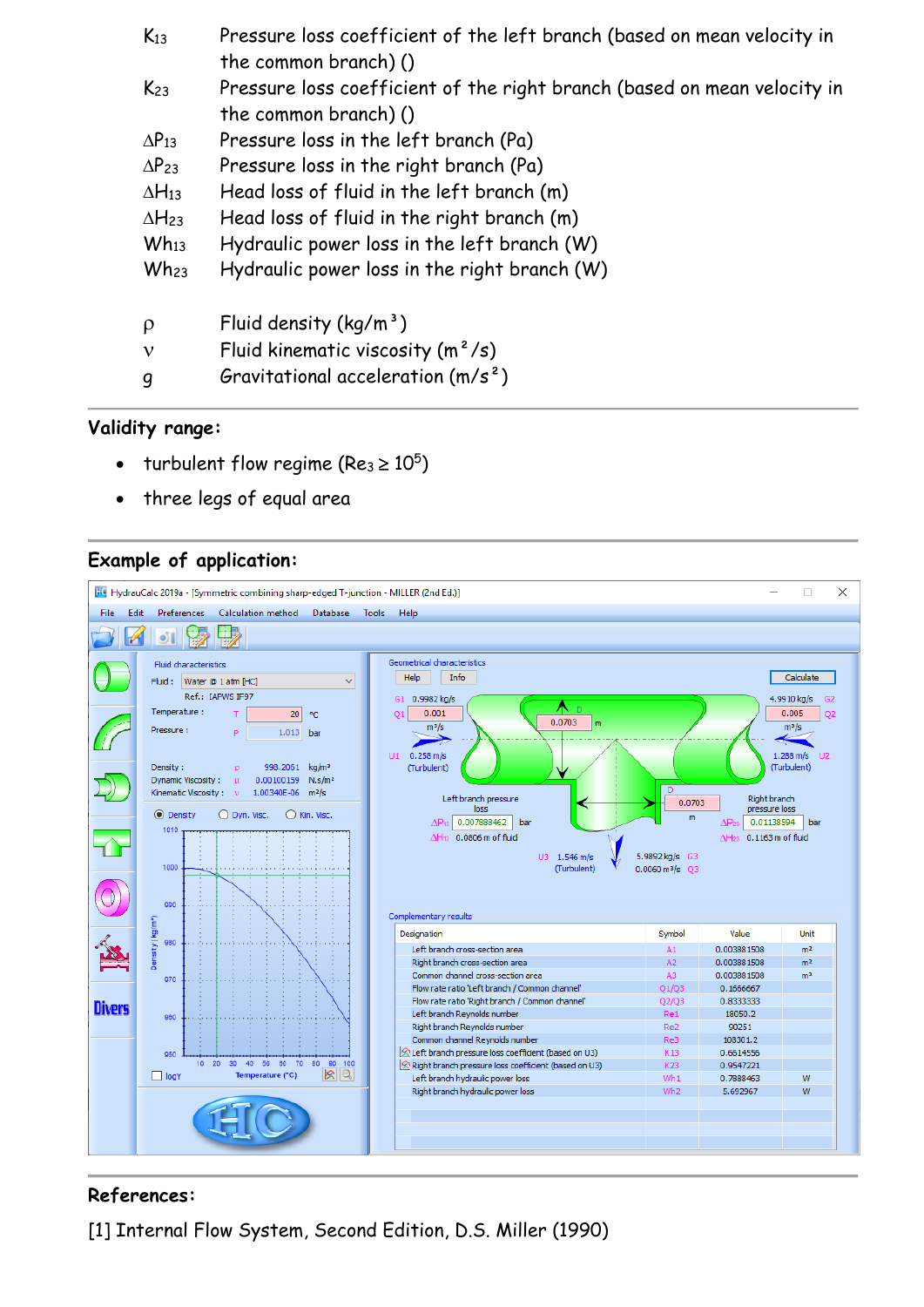| $K_{13}$        | Pressure loss coefficient of the left branch (based on mean velocity in<br>the common branch) ()  |
|-----------------|---------------------------------------------------------------------------------------------------|
| $K_{23}$        | Pressure loss coefficient of the right branch (based on mean velocity in<br>the common branch) () |
| $\Delta P_{13}$ | Pressure loss in the left branch (Pa)                                                             |
| $\Delta P_{23}$ | Pressure loss in the right branch (Pa)                                                            |
| $\Delta H_{13}$ | Head loss of fluid in the left branch (m)                                                         |
| $\Delta H_{23}$ | Head loss of fluid in the right branch (m)                                                        |
| $Wh_{13}$       | Hydraulic power loss in the left branch (W)                                                       |
| $Wh_{23}$       | Hydraulic power loss in the right branch (W)                                                      |
| $\rho$          | Fluid density $(kg/m^3)$                                                                          |
| $\mathbf{v}$    | Fluid kinematic viscosity $(m^2/s)$                                                               |
| g               | Gravitational acceleration $(m/s^2)$                                                              |

## **Validity range:**

- turbulent flow regime (Re<sub>3</sub>  $\geq 10^5$ )
- three legs of equal area

#### **Example of application:**



## **References:**

[1] Internal Flow System, Second Edition, D.S. Miller (1990)